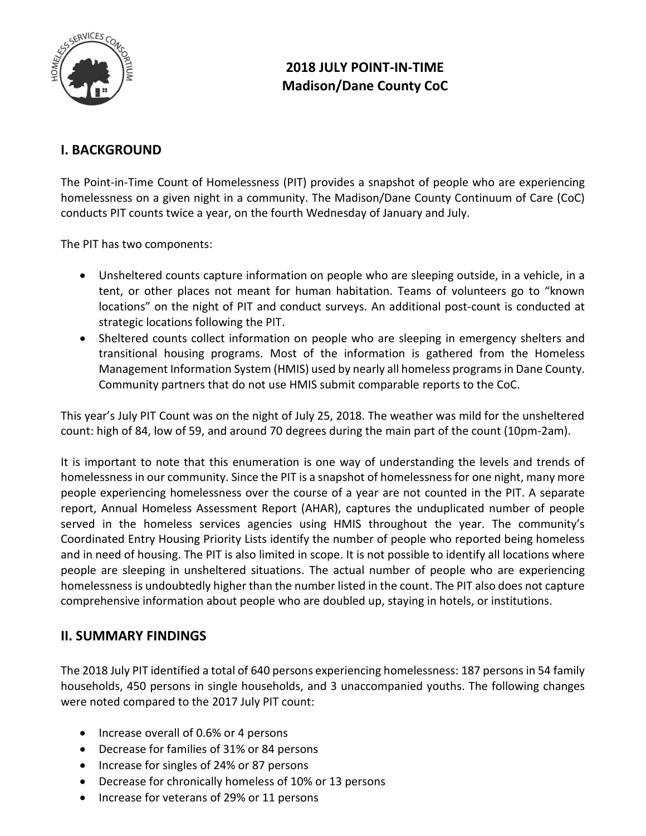

# **2018 JULY POINT-IN-TIME Madison/Dane County CoC**

## **I. BACKGROUND**

The Point-in-Time Count of Homelessness (PIT) provides a snapshot of people who are experiencing homelessness on a given night in a community. The Madison/Dane County Continuum of Care (CoC) conducts PIT counts twice a year, on the fourth Wednesday of January and July.

The PIT has two components:

- Unsheltered counts capture information on people who are sleeping outside, in a vehicle, in a tent, or other places not meant for human habitation. Teams of volunteers go to "known locations" on the night of PIT and conduct surveys. An additional post-count is conducted at strategic locations following the PIT.
- Sheltered counts collect information on people who are sleeping in emergency shelters and transitional housing programs. Most of the information is gathered from the Homeless Management Information System (HMIS) used by nearly all homeless programs in Dane County. Community partners that do not use HMIS submit comparable reports to the CoC.

This year's July PIT Count was on the night of July 25, 2018. The weather was mild for the unsheltered count: high of 84, low of 59, and around 70 degrees during the main part of the count (10pm-2am).

It is important to note that this enumeration is one way of understanding the levels and trends of homelessness in our community. Since the PIT is a snapshot of homelessness for one night, many more people experiencing homelessness over the course of a year are not counted in the PIT. A separate report, Annual Homeless Assessment Report (AHAR), captures the unduplicated number of people served in the homeless services agencies using HMIS throughout the year. The community's Coordinated Entry Housing Priority Lists identify the number of people who reported being homeless and in need of housing. The PIT is also limited in scope. It is not possible to identify all locations where people are sleeping in unsheltered situations. The actual number of people who are experiencing homelessness is undoubtedly higher than the number listed in the count. The PIT also does not capture comprehensive information about people who are doubled up, staying in hotels, or institutions.

## **II. SUMMARY FINDINGS**

The 2018 July PIT identified a total of 640 persons experiencing homelessness: 187 persons in 54 family households, 450 persons in single households, and 3 unaccompanied youths. The following changes were noted compared to the 2017 July PIT count:

- Increase overall of 0.6% or 4 persons
- Decrease for families of 31% or 84 persons
- Increase for singles of 24% or 87 persons
- Decrease for chronically homeless of 10% or 13 persons
- Increase for veterans of 29% or 11 persons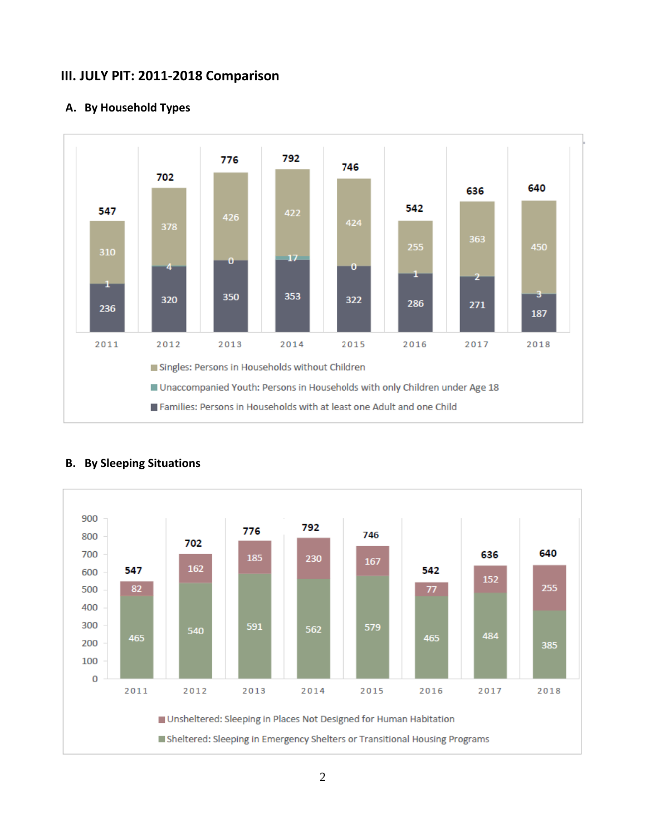## **III. JULY PIT: 2011-2018 Comparison**



### **A. By Household Types**



## **B. By Sleeping Situations**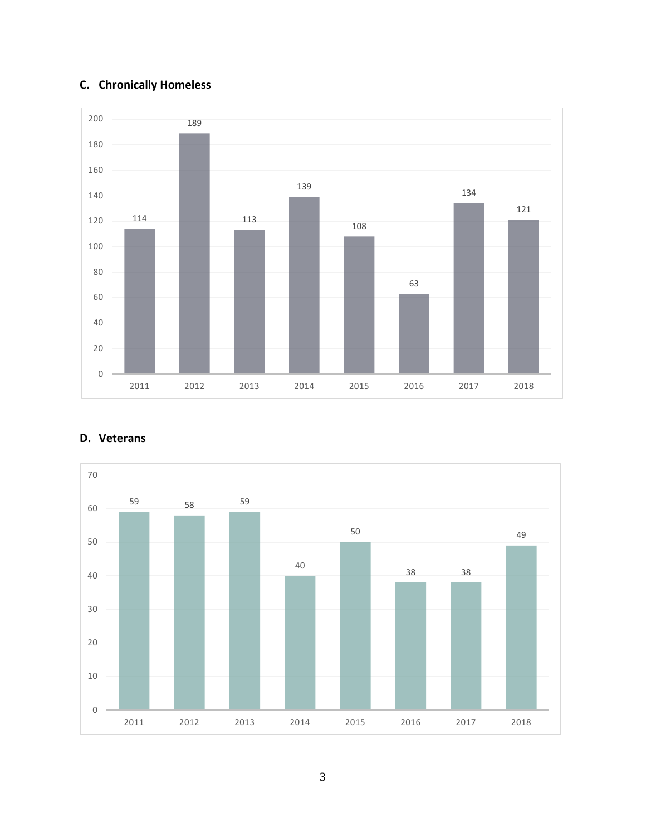# **C. Chronically Homeless**





## **D. Veterans**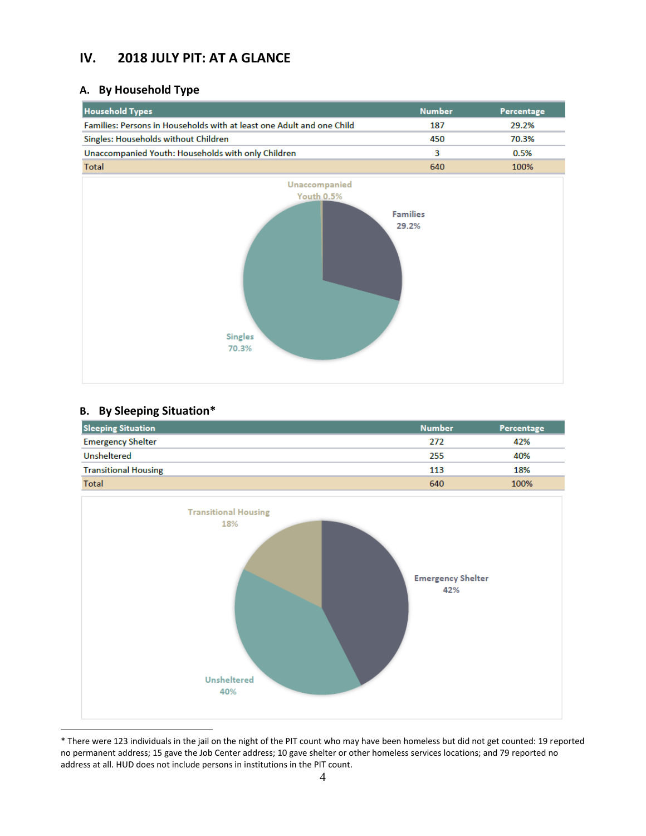## **IV. 2018 JULY PIT: AT A GLANCE**

## **A. By Household Type**

| <b>Household Types</b>                                                | <b>Number</b> | Percentage |
|-----------------------------------------------------------------------|---------------|------------|
| Families: Persons in Households with at least one Adult and one Child | 187           | 29.2%      |
| Singles: Households without Children                                  | 450           | 70.3%      |
| Unaccompanied Youth: Households with only Children                    |               | 0.5%       |
| Total                                                                 | 640           | 100%       |



### **B. By Sleeping Situation\***

| <b>Sleeping Situation</b>   | <b>Number</b> | Percentage |
|-----------------------------|---------------|------------|
| <b>Emergency Shelter</b>    | 272           | 42%        |
| <b>Unsheltered</b>          | 255           | 40%        |
| <b>Transitional Housing</b> | 113           | 18%        |
| Total                       | 640           | 100%       |



<sup>\*</sup> There were 123 individuals in the jail on the night of the PIT count who may have been homeless but did not get counted: 19 reported no permanent address; 15 gave the Job Center address; 10 gave shelter or other homeless services locations; and 79 reported no address at all. HUD does not include persons in institutions in the PIT count.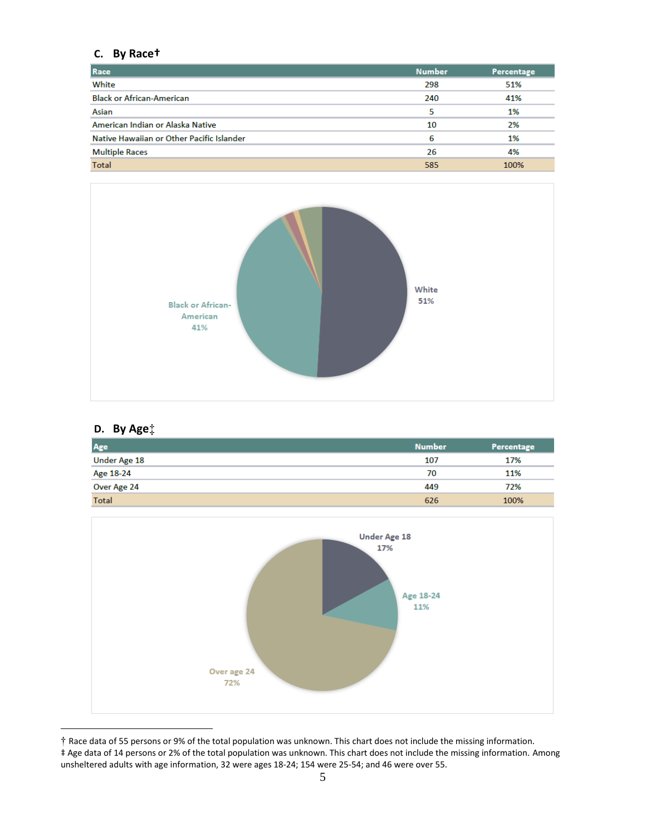## **C. By Race†**

| Race                                      | <b>Number</b> | Percentage |
|-------------------------------------------|---------------|------------|
| White                                     | 298           | 51%        |
| <b>Black or African-American</b>          | 240           | 41%        |
| Asian                                     |               | 1%         |
| American Indian or Alaska Native          | 10            | 2%         |
| Native Hawaiian or Other Pacific Islander | 6             | 1%         |
| <b>Multiple Races</b>                     | 26            | 4%         |
| Total                                     | 585           | 100%       |



## **D. By Age**‡

| Age                 | <b>Number</b> | Percentage |
|---------------------|---------------|------------|
| <b>Under Age 18</b> | 107           | 17%        |
| Age 18-24           | 70            | 11%        |
| Over Age 24         | 449           | 72%        |
| <b>Total</b>        | 626           | 100%       |



<sup>†</sup> Race data of 55 persons or 9% of the total population was unknown. This chart does not include the missing information. ‡ Age data of 14 persons or 2% of the total population was unknown. This chart does not include the missing information. Among

unsheltered adults with age information, 32 were ages 18-24; 154 were 25-54; and 46 were over 55.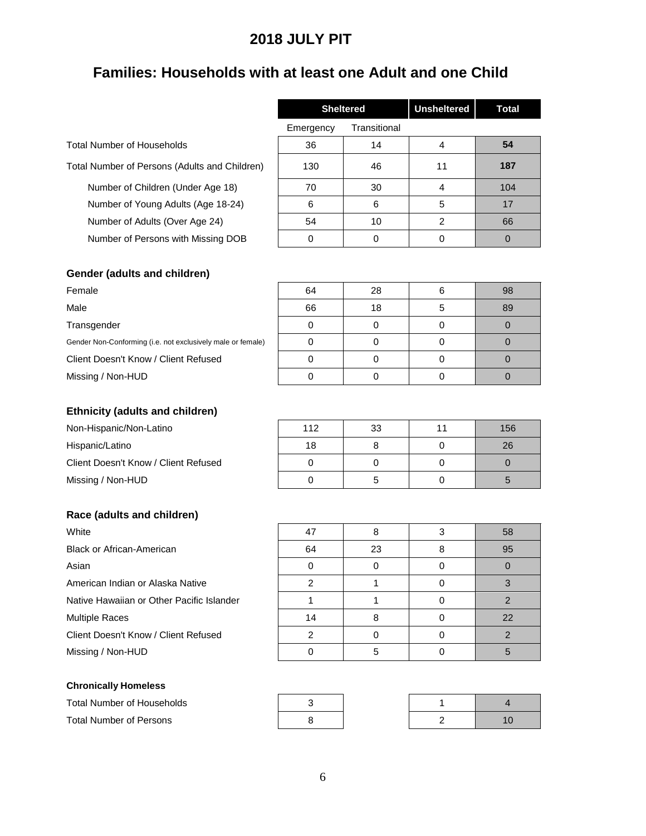# **2018 JULY PIT**

# **Families: Households with at least one Adult and one Child**

|                                               | <b>Sheltered</b> |              | <b>Unsheltered</b> | <b>Total</b> |
|-----------------------------------------------|------------------|--------------|--------------------|--------------|
|                                               | Emergency        | Transitional |                    |              |
| Total Number of Households                    | 36               | 14           | 4                  | 54           |
| Total Number of Persons (Adults and Children) | 130              | 46           | 11                 | 187          |
| Number of Children (Under Age 18)             | 70               | 30           | 4                  | 104          |
| Number of Young Adults (Age 18-24)            | 6                | 6            | 5                  | 17           |
| Number of Adults (Over Age 24)                | 54               | 10           | 2                  | 66           |
| Number of Persons with Missing DOB            | 0                | 0            | 0                  | 0            |

| Gender (adults and children)                                |    |    |    |
|-------------------------------------------------------------|----|----|----|
| Female                                                      | 64 | 28 | 98 |
| Male                                                        | 66 | 18 | 89 |
| Transgender                                                 |    |    |    |
| Gender Non-Conforming (i.e. not exclusively male or female) |    |    |    |
| Client Doesn't Know / Client Refused                        |    |    |    |
| Missing / Non-HUD                                           |    |    |    |

### **Ethnicity (adults and children)**

| Non-Hispanic/Non-Latino              | 112 | 33 | 11 | 156 |
|--------------------------------------|-----|----|----|-----|
| Hispanic/Latino                      | 18  |    |    | 26  |
| Client Doesn't Know / Client Refused |     |    |    |     |
| Missing / Non-HUD                    |     |    |    |     |

### **Race (adults and children)**

Black or African-American American Indian or Alaska Native Native Hawaiian or Other Pacific Islander Multiple Races Client Doesn't Know / Client Refused | 2 | 0 | 0 | 2 Missing / Non-HUD **0** 5 0 5 5 0 5

| Race (adults and children)                |    |    |   |    |
|-------------------------------------------|----|----|---|----|
| White                                     | 47 | 8  |   | 58 |
| <b>Black or African-American</b>          | 64 | 23 | 8 | 95 |
| Asian                                     | ∩  |    |   |    |
| American Indian or Alaska Native          | າ  |    |   |    |
| Native Hawaiian or Other Pacific Islander |    |    |   |    |
| <b>Multiple Races</b>                     | 14 |    |   | 22 |

| <b>Chronically Homeless</b> |  |
|-----------------------------|--|
|-----------------------------|--|

| Total Number of Households |  |  |
|----------------------------|--|--|
| Total Number of Persons    |  |  |

| 3 |  |
|---|--|
| 8 |  |

|  | 10 |
|--|----|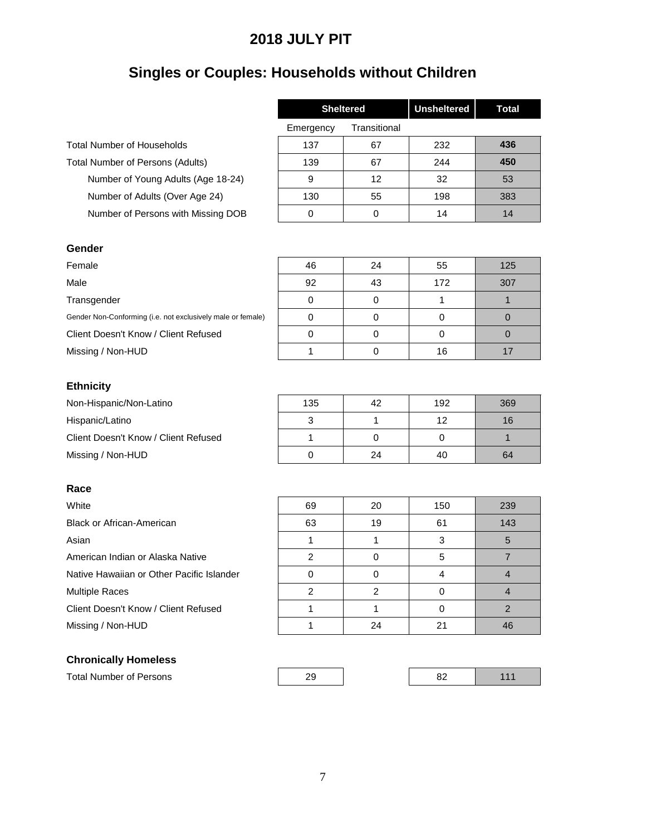# **2018 JULY PIT**

# **Singles or Couples: Households without Children**

|                                    | <b>Sheltered</b> |              | <b>Unsheltered</b> | <b>Total</b> |
|------------------------------------|------------------|--------------|--------------------|--------------|
|                                    | Emergency        | Transitional |                    |              |
| <b>Total Number of Households</b>  | 137              | 67           | 232                | 436          |
| Total Number of Persons (Adults)   | 139              | 67           | 244                | 450          |
| Number of Young Adults (Age 18-24) | 9                | 12           | 32                 | 53           |
| Number of Adults (Over Age 24)     | 130              | 55           | 198                | 383          |
| Number of Persons with Missing DOB | 0                | 0            | 14                 | 14           |
|                                    |                  |              |                    |              |

#### **Gender**

#### **Ethnicity**

Non-Hispanic/Non-Latino Hispanic/Latino Client Doesn't Know / Client Refused Missing / Non-HUD

### **Race**

## **Chronically Homeless**

| Gender                                                      |    |    |     |     |
|-------------------------------------------------------------|----|----|-----|-----|
| Female                                                      | 46 | 24 | 55  | 125 |
| Male                                                        | 92 | 43 | 172 | 307 |
| Transgender                                                 | 0  |    |     |     |
| Gender Non-Conforming (i.e. not exclusively male or female) |    |    |     |     |
| Client Doesn't Know / Client Refused                        | 0  |    |     |     |
| Missing / Non-HUD                                           |    |    | 16  |     |

| 135 | 42 | 192 | 369 |
|-----|----|-----|-----|
| ว   |    | 12  | 16  |
|     |    |     |     |
|     | 24 | 40  | 64  |

| White                                     | 69 | 20 | 150 | 239 |
|-------------------------------------------|----|----|-----|-----|
| Black or African-American                 | 63 | 19 | 61  | 143 |
| Asian                                     |    |    |     | 5   |
| American Indian or Alaska Native          | 2  | 0  | 5   |     |
| Native Hawaiian or Other Pacific Islander | 0  | 0  |     |     |
| <b>Multiple Races</b>                     | 2  | っ  |     |     |
| Client Doesn't Know / Client Refused      |    |    |     |     |
| Missing / Non-HUD                         |    | 24 | 21  | 46  |

| <b>Total Number of Persons</b> | ົ | n, |  |
|--------------------------------|---|----|--|